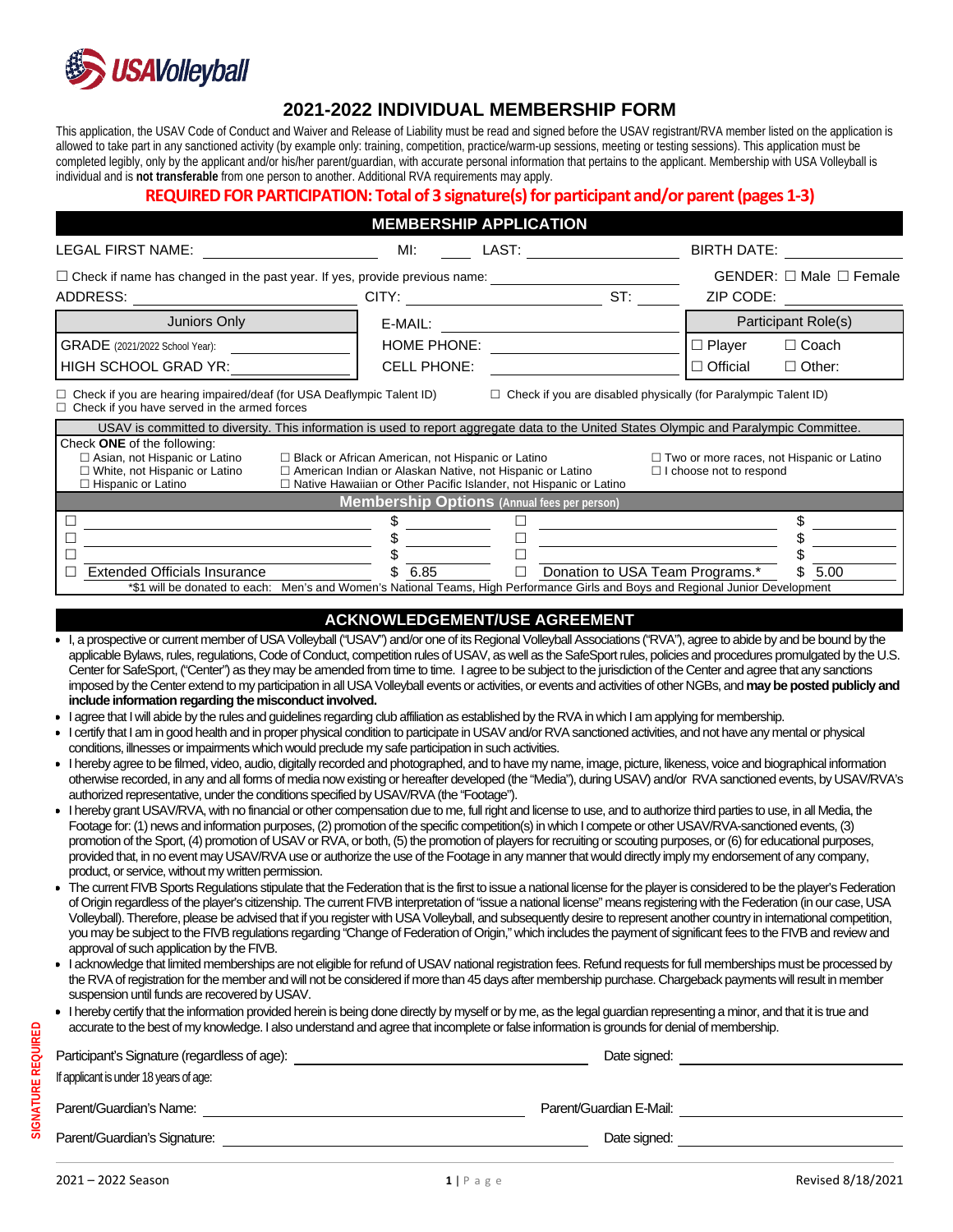

# **2021-2022 INDIVIDUAL MEMBERSHIP FORM**

This application, the USAV Code of Conduct and Waiver and Release of Liability must be read and signed before the USAV registrant/RVA member listed on the application is allowed to take part in any sanctioned activity (by example only: training, competition, practice/warm-up sessions, meeting or testing sessions). This application must be completed legibly, only by the applicant and/or his/her parent/guardian, with accurate personal information that pertains to the applicant. Membership with USA Volleyball is individual and is **not transferable** from one person to another. Additional RVA requirements may apply.

### **REQUIRED FOR PARTICIPATION: Total of 3 signature(s) for participant and/or parent(pages 1-3)**

| <b>MEMBERSHIP APPLICATION</b>                                                                                                                                                                                                                                                                                                                                                                                                                                                                                                                                                                                                                                                                                                                                                                                                                                                                                                                                                                                                                                                                                                                                                                                                                                                                                                                                                                                                                                                                                                                                                                                                                                                                                                                                                                                                                                                                                                                                                                                                                                                                                                                                                                                                                                                                                                                                                                                                                                                                                                                                                                                                                                                                                                                                                                                                                                                                                                                                                                                                                                                                                                                                                                                                                                                                                                                                                                                                                           |                    |        |                    |                                                |                     |  |
|---------------------------------------------------------------------------------------------------------------------------------------------------------------------------------------------------------------------------------------------------------------------------------------------------------------------------------------------------------------------------------------------------------------------------------------------------------------------------------------------------------------------------------------------------------------------------------------------------------------------------------------------------------------------------------------------------------------------------------------------------------------------------------------------------------------------------------------------------------------------------------------------------------------------------------------------------------------------------------------------------------------------------------------------------------------------------------------------------------------------------------------------------------------------------------------------------------------------------------------------------------------------------------------------------------------------------------------------------------------------------------------------------------------------------------------------------------------------------------------------------------------------------------------------------------------------------------------------------------------------------------------------------------------------------------------------------------------------------------------------------------------------------------------------------------------------------------------------------------------------------------------------------------------------------------------------------------------------------------------------------------------------------------------------------------------------------------------------------------------------------------------------------------------------------------------------------------------------------------------------------------------------------------------------------------------------------------------------------------------------------------------------------------------------------------------------------------------------------------------------------------------------------------------------------------------------------------------------------------------------------------------------------------------------------------------------------------------------------------------------------------------------------------------------------------------------------------------------------------------------------------------------------------------------------------------------------------------------------------------------------------------------------------------------------------------------------------------------------------------------------------------------------------------------------------------------------------------------------------------------------------------------------------------------------------------------------------------------------------------------------------------------------------------------------------------------------------|--------------------|--------|--------------------|------------------------------------------------|---------------------|--|
| LAST:<br><b>LEGAL FIRST NAME:</b><br>MI:                                                                                                                                                                                                                                                                                                                                                                                                                                                                                                                                                                                                                                                                                                                                                                                                                                                                                                                                                                                                                                                                                                                                                                                                                                                                                                                                                                                                                                                                                                                                                                                                                                                                                                                                                                                                                                                                                                                                                                                                                                                                                                                                                                                                                                                                                                                                                                                                                                                                                                                                                                                                                                                                                                                                                                                                                                                                                                                                                                                                                                                                                                                                                                                                                                                                                                                                                                                                                |                    |        | <b>BIRTH DATE:</b> |                                                |                     |  |
| $\Box$ Check if name has changed in the past year. If yes, provide previous name:<br>ST:<br>ADDRESS:<br>CITY:                                                                                                                                                                                                                                                                                                                                                                                                                                                                                                                                                                                                                                                                                                                                                                                                                                                                                                                                                                                                                                                                                                                                                                                                                                                                                                                                                                                                                                                                                                                                                                                                                                                                                                                                                                                                                                                                                                                                                                                                                                                                                                                                                                                                                                                                                                                                                                                                                                                                                                                                                                                                                                                                                                                                                                                                                                                                                                                                                                                                                                                                                                                                                                                                                                                                                                                                           |                    |        |                    | $GENDER: \Box$ Male $\Box$ Female<br>ZIP CODE: |                     |  |
| Juniors Only                                                                                                                                                                                                                                                                                                                                                                                                                                                                                                                                                                                                                                                                                                                                                                                                                                                                                                                                                                                                                                                                                                                                                                                                                                                                                                                                                                                                                                                                                                                                                                                                                                                                                                                                                                                                                                                                                                                                                                                                                                                                                                                                                                                                                                                                                                                                                                                                                                                                                                                                                                                                                                                                                                                                                                                                                                                                                                                                                                                                                                                                                                                                                                                                                                                                                                                                                                                                                                            | E-MAIL:            |        |                    |                                                | Participant Role(s) |  |
| GRADE (2021/2022 School Year):                                                                                                                                                                                                                                                                                                                                                                                                                                                                                                                                                                                                                                                                                                                                                                                                                                                                                                                                                                                                                                                                                                                                                                                                                                                                                                                                                                                                                                                                                                                                                                                                                                                                                                                                                                                                                                                                                                                                                                                                                                                                                                                                                                                                                                                                                                                                                                                                                                                                                                                                                                                                                                                                                                                                                                                                                                                                                                                                                                                                                                                                                                                                                                                                                                                                                                                                                                                                                          | HOME PHONE:        |        |                    | $\square$ Player                               | □ Coach             |  |
| HIGH SCHOOL GRAD YR:                                                                                                                                                                                                                                                                                                                                                                                                                                                                                                                                                                                                                                                                                                                                                                                                                                                                                                                                                                                                                                                                                                                                                                                                                                                                                                                                                                                                                                                                                                                                                                                                                                                                                                                                                                                                                                                                                                                                                                                                                                                                                                                                                                                                                                                                                                                                                                                                                                                                                                                                                                                                                                                                                                                                                                                                                                                                                                                                                                                                                                                                                                                                                                                                                                                                                                                                                                                                                                    | <b>CELL PHONE:</b> |        |                    | $\Box$ Official                                | $\Box$ Other:       |  |
|                                                                                                                                                                                                                                                                                                                                                                                                                                                                                                                                                                                                                                                                                                                                                                                                                                                                                                                                                                                                                                                                                                                                                                                                                                                                                                                                                                                                                                                                                                                                                                                                                                                                                                                                                                                                                                                                                                                                                                                                                                                                                                                                                                                                                                                                                                                                                                                                                                                                                                                                                                                                                                                                                                                                                                                                                                                                                                                                                                                                                                                                                                                                                                                                                                                                                                                                                                                                                                                         |                    |        |                    |                                                |                     |  |
| $\Box$ Check if you are disabled physically (for Paralympic Talent ID)<br>$\Box$ Check if you are hearing impaired/deaf (for USA Deaflympic Talent ID)<br>$\Box$ Check if you have served in the armed forces                                                                                                                                                                                                                                                                                                                                                                                                                                                                                                                                                                                                                                                                                                                                                                                                                                                                                                                                                                                                                                                                                                                                                                                                                                                                                                                                                                                                                                                                                                                                                                                                                                                                                                                                                                                                                                                                                                                                                                                                                                                                                                                                                                                                                                                                                                                                                                                                                                                                                                                                                                                                                                                                                                                                                                                                                                                                                                                                                                                                                                                                                                                                                                                                                                           |                    |        |                    |                                                |                     |  |
| USAV is committed to diversity. This information is used to report aggregate data to the United States Olympic and Paralympic Committee.                                                                                                                                                                                                                                                                                                                                                                                                                                                                                                                                                                                                                                                                                                                                                                                                                                                                                                                                                                                                                                                                                                                                                                                                                                                                                                                                                                                                                                                                                                                                                                                                                                                                                                                                                                                                                                                                                                                                                                                                                                                                                                                                                                                                                                                                                                                                                                                                                                                                                                                                                                                                                                                                                                                                                                                                                                                                                                                                                                                                                                                                                                                                                                                                                                                                                                                |                    |        |                    |                                                |                     |  |
| Check ONE of the following:<br>□ Asian, not Hispanic or Latino<br>$\Box$ Black or African American, not Hispanic or Latino<br>$\Box$ Two or more races, not Hispanic or Latino<br>$\Box$ White, not Hispanic or Latino<br>□ American Indian or Alaskan Native, not Hispanic or Latino<br>$\Box$ I choose not to respond<br>□ Hispanic or Latino<br>$\Box$ Native Hawaiian or Other Pacific Islander, not Hispanic or Latino<br><b>Membership Options</b> (Annual fees per person)                                                                                                                                                                                                                                                                                                                                                                                                                                                                                                                                                                                                                                                                                                                                                                                                                                                                                                                                                                                                                                                                                                                                                                                                                                                                                                                                                                                                                                                                                                                                                                                                                                                                                                                                                                                                                                                                                                                                                                                                                                                                                                                                                                                                                                                                                                                                                                                                                                                                                                                                                                                                                                                                                                                                                                                                                                                                                                                                                                       |                    |        |                    |                                                |                     |  |
| $\Box$                                                                                                                                                                                                                                                                                                                                                                                                                                                                                                                                                                                                                                                                                                                                                                                                                                                                                                                                                                                                                                                                                                                                                                                                                                                                                                                                                                                                                                                                                                                                                                                                                                                                                                                                                                                                                                                                                                                                                                                                                                                                                                                                                                                                                                                                                                                                                                                                                                                                                                                                                                                                                                                                                                                                                                                                                                                                                                                                                                                                                                                                                                                                                                                                                                                                                                                                                                                                                                                  | S                  |        |                    |                                                |                     |  |
| □                                                                                                                                                                                                                                                                                                                                                                                                                                                                                                                                                                                                                                                                                                                                                                                                                                                                                                                                                                                                                                                                                                                                                                                                                                                                                                                                                                                                                                                                                                                                                                                                                                                                                                                                                                                                                                                                                                                                                                                                                                                                                                                                                                                                                                                                                                                                                                                                                                                                                                                                                                                                                                                                                                                                                                                                                                                                                                                                                                                                                                                                                                                                                                                                                                                                                                                                                                                                                                                       |                    |        |                    |                                                |                     |  |
| П<br><b>Extended Officials Insurance</b><br>П                                                                                                                                                                                                                                                                                                                                                                                                                                                                                                                                                                                                                                                                                                                                                                                                                                                                                                                                                                                                                                                                                                                                                                                                                                                                                                                                                                                                                                                                                                                                                                                                                                                                                                                                                                                                                                                                                                                                                                                                                                                                                                                                                                                                                                                                                                                                                                                                                                                                                                                                                                                                                                                                                                                                                                                                                                                                                                                                                                                                                                                                                                                                                                                                                                                                                                                                                                                                           | \$<br>6.85         | $\Box$ |                    | Donation to USA Team Programs.*                | 5.00                |  |
| *\$1 will be donated to each: Men's and Women's National Teams, High Performance Girls and Boys and Regional Junior Development                                                                                                                                                                                                                                                                                                                                                                                                                                                                                                                                                                                                                                                                                                                                                                                                                                                                                                                                                                                                                                                                                                                                                                                                                                                                                                                                                                                                                                                                                                                                                                                                                                                                                                                                                                                                                                                                                                                                                                                                                                                                                                                                                                                                                                                                                                                                                                                                                                                                                                                                                                                                                                                                                                                                                                                                                                                                                                                                                                                                                                                                                                                                                                                                                                                                                                                         |                    |        |                    |                                                |                     |  |
| Center for SafeSport, ("Center") as they may be amended from time to time. I agree to be subject to the jurisdiction of the Center and agree that any sanctions<br>imposed by the Center extend to my participation in all USA Volleyball events or activities, or events and activities of other NGBs, and may be posted publicly and<br>include information regarding the misconduct involved.<br>I agree that I will abide by the rules and guidelines regarding club affiliation as established by the RVA in which I am applying for membership.<br>I certify that I am in good health and in proper physical condition to participate in USAV and/or RVA sanctioned activities, and not have any mental or physical<br>conditions, illnesses or impairments which would preclude my safe participation in such activities.<br>Inereby agree to be filmed, video, audio, digitally recorded and photographed, and to have my name, image, picture, likeness, voice and biographical information<br>otherwise recorded, in any and all forms of media now existing or hereafter developed (the "Media"), during USAV) and/or RVA sanctioned events, by USAV/RVA's<br>authorized representative, under the conditions specified by USAV/RVA (the "Footage").<br>Inereby grant USAV/RVA, with no financial or other compensation due to me, full right and license to use, and to authorize third parties to use, in all Media, the<br>Footage for: (1) news and information purposes, (2) promotion of the specific competition(s) in which I compete or other USAV/RVA-sanctioned events, (3)<br>promotion of the Sport, (4) promotion of USAV or RVA, or both, (5) the promotion of players for recruiting or scouting purposes, or (6) for educational purposes,<br>provided that, in no event may USAV/RVA use or authorize the use of the Footage in any manner that would directly imply my endorsement of any company,<br>product, or service, without my written permission.<br>• The current FIVB Sports Regulations stipulate that the Federation that is the first to issue a national license for the player is considered to be the player's Federation<br>of Origin regardless of the player's citizenship. The current FIVB interpretation of "issue a national license" means registering with the Federation (in our case, USA<br>Volleyball). Therefore, please be advised that if you register with USA Volleyball, and subsequently desire to represent another country in international competition,<br>you may be subject to the FIVB regulations regarding "Change of Federation of Origin," which includes the payment of significant fees to the FIVB and review and<br>approval of such application by the FIVB.<br>I acknowledge that limited memberships are not eligible for refund of USAV national registration fees. Refund requests for full memberships must be processed by<br>the RVA of registration for the member and will not be considered if more than 45 days after membership purchase. Chargeback payments will result in member<br>suspension until funds are recovered by USAV.<br>Inereby certify that the information provided herein is being done directly by myself or by me, as the legal guardian representing a minor, and that it is true and<br>accurate to the best of my knowledge. I also understand and agree that incomplete or false information is grounds for denial of membership. |                    |        |                    |                                                |                     |  |
|                                                                                                                                                                                                                                                                                                                                                                                                                                                                                                                                                                                                                                                                                                                                                                                                                                                                                                                                                                                                                                                                                                                                                                                                                                                                                                                                                                                                                                                                                                                                                                                                                                                                                                                                                                                                                                                                                                                                                                                                                                                                                                                                                                                                                                                                                                                                                                                                                                                                                                                                                                                                                                                                                                                                                                                                                                                                                                                                                                                                                                                                                                                                                                                                                                                                                                                                                                                                                                                         |                    |        |                    |                                                |                     |  |
| If applicant is under 18 years of age:                                                                                                                                                                                                                                                                                                                                                                                                                                                                                                                                                                                                                                                                                                                                                                                                                                                                                                                                                                                                                                                                                                                                                                                                                                                                                                                                                                                                                                                                                                                                                                                                                                                                                                                                                                                                                                                                                                                                                                                                                                                                                                                                                                                                                                                                                                                                                                                                                                                                                                                                                                                                                                                                                                                                                                                                                                                                                                                                                                                                                                                                                                                                                                                                                                                                                                                                                                                                                  |                    |        |                    |                                                |                     |  |
|                                                                                                                                                                                                                                                                                                                                                                                                                                                                                                                                                                                                                                                                                                                                                                                                                                                                                                                                                                                                                                                                                                                                                                                                                                                                                                                                                                                                                                                                                                                                                                                                                                                                                                                                                                                                                                                                                                                                                                                                                                                                                                                                                                                                                                                                                                                                                                                                                                                                                                                                                                                                                                                                                                                                                                                                                                                                                                                                                                                                                                                                                                                                                                                                                                                                                                                                                                                                                                                         |                    |        |                    |                                                |                     |  |

**SIGNATURE** 

SIGNATURE REQUIRED

**REQUIRED**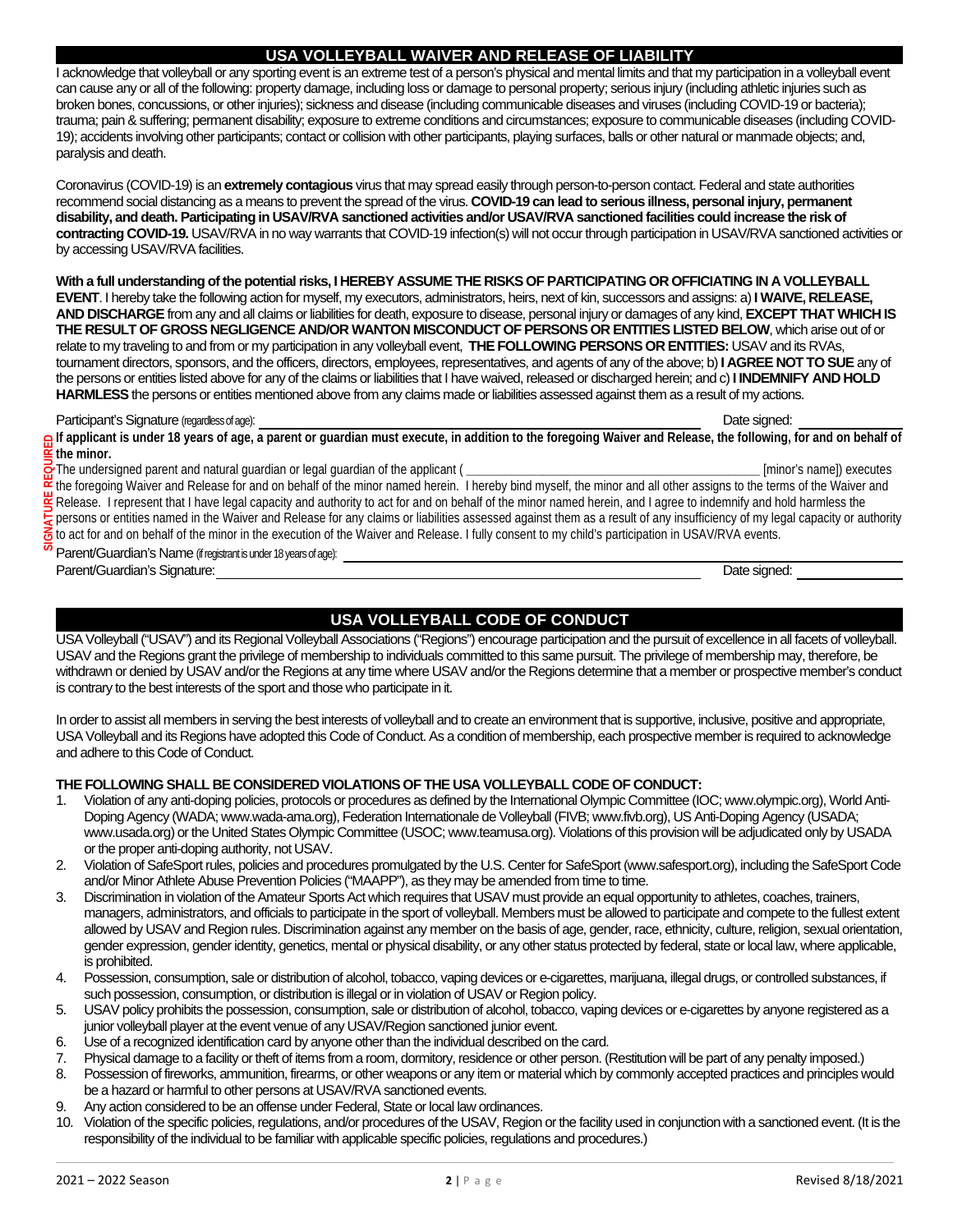### **USA VOLLEYBALL WAIVER AND RELEASE OF LIABILITY**

I acknowledge that volleyball or any sporting event is an extreme test of a person's physical and mental limits and that my participation in a volleyball event can cause any or all of the following: property damage, including loss or damage to personal property; serious injury (including athletic injuries such as broken bones, concussions, or other injuries); sickness and disease (including communicable diseases and viruses (including COVID-19 or bacteria); trauma; pain & suffering; permanent disability; exposure to extreme conditions and circumstances; exposure to communicable diseases (including COVID-19); accidents involving other participants; contact or collision with other participants, playing surfaces, balls or other natural or manmade objects; and, paralysis and death.

Coronavirus (COVID-19) is an **extremely contagious** virus that may spread easily through person-to-person contact. Federal and state authorities recommend social distancing as a means to prevent the spread of the virus. **COVID-19 can lead to serious illness, personal injury, permanent disability, and death. Participating in USAV/RVA sanctioned activities and/or USAV/RVA sanctioned facilities could increase the risk of contracting COVID-19.** USAV/RVA in no way warrants that COVID-19 infection(s) will not occur through participation in USAV/RVA sanctioned activities or by accessing USAV/RVA facilities.

**With a full understanding of the potential risks, I HEREBY ASSUME THE RISKS OF PARTICIPATING OR OFFICIATING IN A VOLLEYBALL EVENT**. I hereby take the following action for myself, my executors, administrators, heirs, next of kin, successors and assigns: a) **I WAIVE, RELEASE, AND DISCHARGE**from any and all claims or liabilities for death, exposure to disease, personal injury or damages of any kind, **EXCEPT THAT WHICH IS THE RESULT OF GROSS NEGLIGENCE AND/OR WANTON MISCONDUCT OF PERSONS OR ENTITIES LISTED BELOW**, which arise out of or relate to my traveling to and from or my participation in any volleyball event, **THE FOLLOWING PERSONS OR ENTITIES:** USAV and its RVAs, tournament directors, sponsors, and the officers, directors, employees, representatives, and agents of any of the above; b) **I AGREE NOT TO SUE**any of the persons or entities listed above for any of the claims or liabilities that I have waived, released or discharged herein; and c)**I INDEMNIFY AND HOLD HARMLESS**the persons or entities mentioned above from any claims made or liabilities assessed against them as a result of my actions.

#### Participant's Signature (regardless of age): Date signed: Date signed: Date signed: Date signed: Date signed:

**If applicant is under 18 years of age, a parent or guardian must execute, in addition to the foregoing Waiver and Release, the following, for and on behalf of the minor.** 

The undersigned parent and natural guardian or legal guardian of the applicant ( **\_\_\_\_\_\_\_\_\_\_\_\_\_\_\_\_\_\_\_\_\_\_\_\_\_\_\_\_\_\_\_\_\_\_\_\_\_\_\_\_\_\_\_\_\_\_** [minor's name]) executes

the foregoing Waiver and Release for and on behalf of the minor named herein. I hereby bind myself, the minor and all other assigns to the terms of the Waiver and Release. I represent that I have legal capacity and authority to act for and on behalf of the minor named herein, and I agree to indemnify and hold harmless the persons or entities named in the Waiver and Release for any claims or liabilities assessed against them as a result of any insufficiency of my legal capacity or authority to act for and on behalf of the minor in the execution of the Waiver and Release. I fully consent to my child's participation in USAV/RVA events.

Parent/Guardian's Name (if registrant is under 18 years of age):

Parent/Guardian's Signature: Date signed:

**SIGNATURE REQUIRED**

₹

## **USA VOLLEYBALL CODE OF CONDUCT**

USA Volleyball ("USAV") and its Regional Volleyball Associations ("Regions") encourage participation and the pursuit of excellence in all facets of volleyball. USAV and the Regions grant the privilege of membership to individuals committed to this same pursuit. The privilege of membership may, therefore, be withdrawn or denied by USAV and/or the Regions at any time where USAV and/or the Regions determine that a member or prospective member's conduct is contrary to the best interests of the sport and those who participate in it.

In order to assist all members in serving the best interests of volleyball and to create an environment that is supportive, inclusive, positive and appropriate, USA Volleyball and its Regions have adopted this Code of Conduct. As a condition of membership, each prospective member is required to acknowledge and adhere to this Code of Conduct.

#### **THE FOLLOWING SHALL BE CONSIDERED VIOLATIONS OF THE USA VOLLEYBALL CODE OF CONDUCT:**

- 1. Violation of any anti-doping policies, protocols or procedures as defined by the International Olympic Committee (IOC; www.olympic.org), World Anti-Doping Agency (WADA; www.wada-ama.org), Federation Internationale de Volleyball (FIVB; www.fivb.org), US Anti-Doping Agency (USADA; www.usada.org) or the United States Olympic Committee (USOC; www.teamusa.org). Violations of this provision will be adjudicated only by USADA or the proper anti-doping authority, not USAV.
- 2. Violation of SafeSport rules, policies and procedures promulgated by the U.S. Center for SafeSport (www.safesport.org), including the SafeSport Code and/or Minor Athlete Abuse Prevention Policies ("MAAPP"), as they may be amended from time to time.
- 3. Discrimination in violation of the Amateur Sports Act which requires that USAV must provide an equal opportunity to athletes, coaches, trainers, managers, administrators, and officials to participate in the sport of volleyball. Members must be allowed to participate and compete to the fullest extent allowed by USAV and Region rules. Discrimination against any member on the basis of age, gender, race, ethnicity, culture, religion, sexual orientation, gender expression, gender identity, genetics, mental or physical disability, or any other status protected by federal, state or local law, where applicable, is prohibited.
- 4. Possession, consumption, sale or distribution of alcohol, tobacco, vaping devices or e-cigarettes, marijuana, illegal drugs, or controlled substances, if such possession, consumption, or distribution is illegal or in violation of USAV or Region policy.
- 5. USAV policy prohibits the possession, consumption, sale or distribution of alcohol, tobacco, vaping devices or e-cigarettes by anyone registered as a junior volleyball player at the event venue of any USAV/Region sanctioned junior event.
- 6. Use of a recognized identification card by anyone other than the individual described on the card.
- 7. Physical damage to a facility or theft of items from a room, dormitory, residence or other person. (Restitution will be part of any penalty imposed.)
- 8. Possession of fireworks, ammunition, firearms, or other weapons or any item or material which by commonly accepted practices and principles would be a hazard or harmful to other persons at USAV/RVA sanctioned events.
- 9. Any action considered to be an offense under Federal, State or local law ordinances.
- 10. Violation of the specific policies, regulations, and/or procedures of the USAV, Region or the facility used in conjunction with a sanctioned event. (It is the responsibility of the individual to be familiar with applicable specific policies, regulations and procedures.)